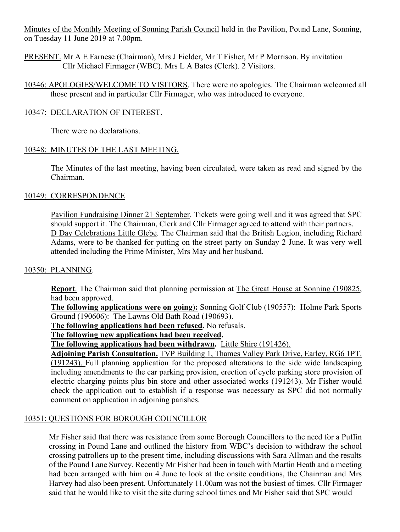Minutes of the Monthly Meeting of Sonning Parish Council held in the Pavilion, Pound Lane, Sonning, on Tuesday 11 June 2019 at 7.00pm.

PRESENT. Mr A E Farnese (Chairman), Mrs J Fielder, Mr T Fisher, Mr P Morrison. By invitation Cllr Michael Firmager (WBC). Mrs L A Bates (Clerk). 2 Visitors.

10346: APOLOGIES/WELCOME TO VISITORS. There were no apologies. The Chairman welcomed all those present and in particular Cllr Firmager, who was introduced to everyone.

### 10347: DECLARATION OF INTEREST.

There were no declarations.

### 10348: MINUTES OF THE LAST MEETING.

The Minutes of the last meeting, having been circulated, were taken as read and signed by the Chairman.

### 10149: CORRESPONDENCE

Pavilion Fundraising Dinner 21 September. Tickets were going well and it was agreed that SPC should support it. The Chairman, Clerk and Cllr Firmager agreed to attend with their partners. D Day Celebrations Little Glebe. The Chairman said that the British Legion, including Richard Adams, were to be thanked for putting on the street party on Sunday 2 June. It was very well attended including the Prime Minister, Mrs May and her husband.

#### 10350: PLANNING.

**Report**. The Chairman said that planning permission at The Great House at Sonning (190825, had been approved.

**The following applications were on going**)**:** Sonning Golf Club (190557): Holme Park Sports Ground (190606): The Lawns Old Bath Road (190693).

**The following applications had been refused.** No refusals.

**The following new applications had been received.**

**The following applications had been withdrawn.** Little Shire (191426).

**Adjoining Parish Consultation.** TVP Building 1, Thames Valley Park Drive, Earley, RG6 1PT.

(191243). Full planning application for the proposed alterations to the side wide landscaping including amendments to the car parking provision, erection of cycle parking store provision of electric charging points plus bin store and other associated works (191243). Mr Fisher would check the application out to establish if a response was necessary as SPC did not normally comment on application in adjoining parishes.

## 10351: QUESTIONS FOR BOROUGH COUNCILLOR

Mr Fisher said that there was resistance from some Borough Councillors to the need for a Puffin crossing in Pound Lane and outlined the history from WBC's decision to withdraw the school crossing patrollers up to the present time, including discussions with Sara Allman and the results of the Pound Lane Survey. Recently Mr Fisher had been in touch with Martin Heath and a meeting had been arranged with him on 4 June to look at the onsite conditions, the Chairman and Mrs Harvey had also been present. Unfortunately 11.00am was not the busiest of times. Cllr Firmager said that he would like to visit the site during school times and Mr Fisher said that SPC would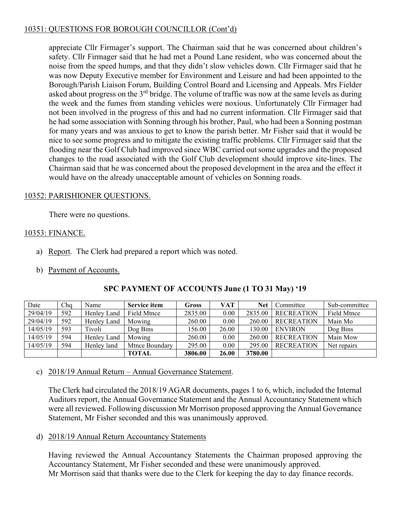## 10351: QUESTIONS FOR BOROUGH COUNCILLOR (Cont'd)

appreciate Cllr Firmager's support. The Chairman said that he was concerned about children's safety. Cllr Firmager said that he had met a Pound Lane resident, who was concerned about the noise from the speed humps, and that they didn't slow vehicles down. Cllr Firmager said that he was now Deputy Executive member for Environment and Leisure and had been appointed to the Borough/Parish Liaison Forum, Building Control Board and Licensing and Appeals. Mrs Fielder asked about progress on the  $3<sup>rd</sup>$  bridge. The volume of traffic was now at the same levels as during the week and the fumes from standing vehicles were noxious. Unfortunately Cllr Firmager had not been involved in the progress of this and had no current information. Cllr Firmager said that he had some association with Sonning through his brother, Paul, who had been a Sonning postman for many years and was anxious to get to know the parish better. Mr Fisher said that it would be nice to see some progress and to mitigate the existing traffic problems. Cllr Firmager said that the flooding near the Golf Club had improved since WBC carried out some upgrades and the proposed changes to the road associated with the Golf Club development should improve site-lines. The Chairman said that he was concerned about the proposed development in the area and the effect it would have on the already unacceptable amount of vehicles on Sonning roads.

## 10352: PARISHIONER QUESTIONS.

There were no questions.

### 10353: FINANCE.

- a) Report. The Clerk had prepared a report which was noted.
- b) Payment of Accounts.

| Date     | Cha | Name        | <b>Service item</b> | Gross   | <b>VAT</b> | <b>Net</b> | Committee         | Sub-committee |
|----------|-----|-------------|---------------------|---------|------------|------------|-------------------|---------------|
| 29/04/19 | 592 | Henley Land | Field Mtnce         | 2835.00 | 0.00       | 2835.00    | <b>RECREATION</b> | Field Mtnce   |
| 29/04/19 | 592 | Henley Land | Mowing              | 260.00  | 0.00       | 260.00     | <b>RECREATION</b> | Main Mo       |
| 14/05/19 | 593 | Tivoli      | Dog Bins            | 156.00  | 26.00      | 130.00     | <b>ENVIRON</b>    | Dog Bins      |
| 14/05/19 | 594 | Henley Land | Mowing              | 260.00  | 0.00       | 260.00     | <b>RECREATION</b> | Main Mow      |
| 14/05/19 | 594 | Henley land | Mtnce Boundary      | 295.00  | 0.00       | 295.00     | <b>RECREATION</b> | Net repairs   |
|          |     |             | <b>TOTAL</b>        | 3806.00 | 26.00      | 3780.00    |                   |               |

## **SPC PAYMENT OF ACCOUNTS June (1 TO 31 May) '19**

c) 2018/19 Annual Return – Annual Governance Statement.

The Clerk had circulated the 2018/19 AGAR documents, pages 1 to 6, which, included the Internal Auditors report, the Annual Governance Statement and the Annual Accountancy Statement which were all reviewed. Following discussion Mr Morrison proposed approving the Annual Governance Statement, Mr Fisher seconded and this was unanimously approved.

d) 2018/19 Annual Return Accountancy Statements

Having reviewed the Annual Accountancy Statements the Chairman proposed approving the Accountancy Statement, Mr Fisher seconded and these were unanimously approved. Mr Morrison said that thanks were due to the Clerk for keeping the day to day finance records.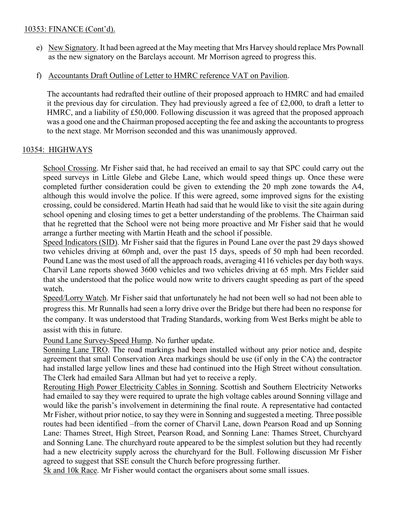### 10353: FINANCE (Cont'd).

- e) New Signatory. It had been agreed at the May meeting that Mrs Harvey should replace Mrs Pownall as the new signatory on the Barclays account. Mr Morrison agreed to progress this.
- f) Accountants Draft Outline of Letter to HMRC reference VAT on Pavilion.

The accountants had redrafted their outline of their proposed approach to HMRC and had emailed it the previous day for circulation. They had previously agreed a fee of £2,000, to draft a letter to HMRC, and a liability of £50,000. Following discussion it was agreed that the proposed approach was a good one and the Chairman proposed accepting the fee and asking the accountants to progress to the next stage. Mr Morrison seconded and this was unanimously approved.

## 10354: HIGHWAYS

School Crossing. Mr Fisher said that, he had received an email to say that SPC could carry out the speed surveys in Little Glebe and Glebe Lane, which would speed things up. Once these were completed further consideration could be given to extending the 20 mph zone towards the A4, although this would involve the police. If this were agreed, some improved signs for the existing crossing, could be considered. Martin Heath had said that he would like to visit the site again during school opening and closing times to get a better understanding of the problems. The Chairman said that he regretted that the School were not being more proactive and Mr Fisher said that he would arrange a further meeting with Martin Heath and the school if possible.

Speed Indicators (SID). Mr Fisher said that the figures in Pound Lane over the past 29 days showed two vehicles driving at 60mph and, over the past 15 days, speeds of 50 mph had been recorded. Pound Lane was the most used of all the approach roads, averaging 4116 vehicles per day both ways. Charvil Lane reports showed 3600 vehicles and two vehicles driving at 65 mph. Mrs Fielder said that she understood that the police would now write to drivers caught speeding as part of the speed watch.

Speed/Lorry Watch. Mr Fisher said that unfortunately he had not been well so had not been able to progress this. Mr Runnalls had seen a lorry drive over the Bridge but there had been no response for the company. It was understood that Trading Standards, working from West Berks might be able to assist with this in future.

Pound Lane Survey-Speed Hump. No further update.

Sonning Lane TRO. The road markings had been installed without any prior notice and, despite agreement that small Conservation Area markings should be use (if only in the CA) the contractor had installed large yellow lines and these had continued into the High Street without consultation. The Clerk had emailed Sara Allman but had yet to receive a reply.

Rerouting High Power Electricity Cables in Sonning. Scottish and Southern Electricity Networks had emailed to say they were required to uprate the high voltage cables around Sonning village and would like the parish's involvement in determining the final route. A representative had contacted Mr Fisher, without prior notice, to say they were in Sonning and suggested a meeting. Three possible routes had been identified –from the corner of Charvil Lane, down Pearson Road and up Sonning Lane: Thames Street, High Street, Pearson Road, and Sonning Lane: Thames Street, Churchyard and Sonning Lane. The churchyard route appeared to be the simplest solution but they had recently had a new electricity supply across the churchyard for the Bull. Following discussion Mr Fisher agreed to suggest that SSE consult the Church before progressing further.

5k and 10k Race. Mr Fisher would contact the organisers about some small issues.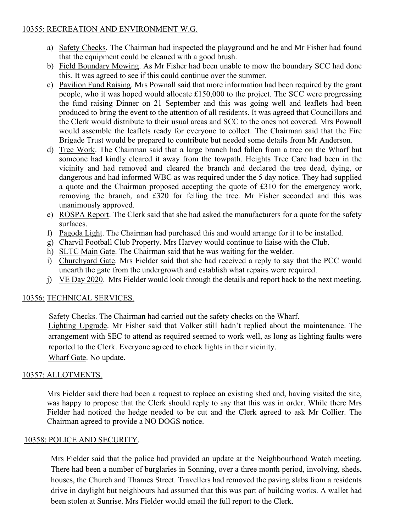## 10355: RECREATION AND ENVIRONMENT W.G.

- a) Safety Checks. The Chairman had inspected the playground and he and Mr Fisher had found that the equipment could be cleaned with a good brush.
- b) Field Boundary Mowing. As Mr Fisher had been unable to mow the boundary SCC had done this. It was agreed to see if this could continue over the summer.
- c) Pavilion Fund Raising. Mrs Pownall said that more information had been required by the grant people, who it was hoped would allocate £150,000 to the project. The SCC were progressing the fund raising Dinner on 21 September and this was going well and leaflets had been produced to bring the event to the attention of all residents. It was agreed that Councillors and the Clerk would distribute to their usual areas and SCC to the ones not covered. Mrs Pownall would assemble the leaflets ready for everyone to collect. The Chairman said that the Fire Brigade Trust would be prepared to contribute but needed some details from Mr Anderson.
- d) Tree Work. The Chairman said that a large branch had fallen from a tree on the Wharf but someone had kindly cleared it away from the towpath. Heights Tree Care had been in the vicinity and had removed and cleared the branch and declared the tree dead, dying, or dangerous and had informed WBC as was required under the 5 day notice. They had supplied a quote and the Chairman proposed accepting the quote of £310 for the emergency work, removing the branch, and £320 for felling the tree. Mr Fisher seconded and this was unanimously approved.
- e) ROSPA Report. The Clerk said that she had asked the manufacturers for a quote for the safety surfaces.
- f) Pagoda Light. The Chairman had purchased this and would arrange for it to be installed.
- g) Charvil Football Club Property. Mrs Harvey would continue to liaise with the Club.
- h) SLTC Main Gate. The Chairman said that he was waiting for the welder.
- i) Churchyard Gate. Mrs Fielder said that she had received a reply to say that the PCC would unearth the gate from the undergrowth and establish what repairs were required.
- j) VE Day 2020. Mrs Fielder would look through the details and report back to the next meeting.

## 10356: TECHNICAL SERVICES.

Safety Checks. The Chairman had carried out the safety checks on the Wharf. Lighting Upgrade. Mr Fisher said that Volker still hadn't replied about the maintenance. The arrangement with SEC to attend as required seemed to work well, as long as lighting faults were reported to the Clerk. Everyone agreed to check lights in their vicinity. Wharf Gate. No update.

## 10357: ALLOTMENTS.

Mrs Fielder said there had been a request to replace an existing shed and, having visited the site, was happy to propose that the Clerk should reply to say that this was in order. While there Mrs Fielder had noticed the hedge needed to be cut and the Clerk agreed to ask Mr Collier. The Chairman agreed to provide a NO DOGS notice.

## 10358: POLICE AND SECURITY.

Mrs Fielder said that the police had provided an update at the Neighbourhood Watch meeting. There had been a number of burglaries in Sonning, over a three month period, involving, sheds, houses, the Church and Thames Street. Travellers had removed the paving slabs from a residents drive in daylight but neighbours had assumed that this was part of building works. A wallet had been stolen at Sunrise. Mrs Fielder would email the full report to the Clerk.